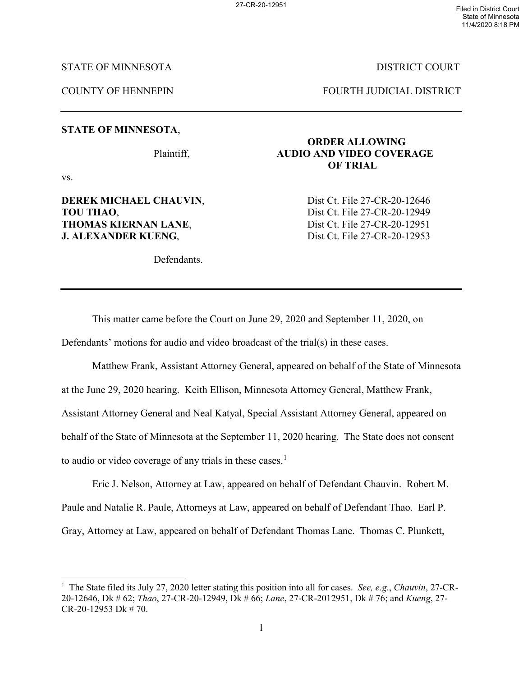27-CR-20-12951 Filed in District Court State of Minnesota 11/4/2020 8:18 PM

### STATE OF MINNESOTA DISTRICT COURT

COUNTY OF HENNEPIN FOURTH JUDICIAL DISTRICT

#### **STATE OF MINNESOTA**,

vs.

# **TOU THAO.** Dist Ct. File 27-CR-20-12949 **THOMAS KIERNAN LANE,** Dist Ct. File 27-CR-20-12951 **J. ALEXANDER KUENG.** Dist Ct. File 27-CR-20-12953

Defendants.

# **ORDER ALLOWING** Plaintiff, **AUDIO AND VIDEO COVERAGE OF TRIAL**

**DEREK MICHAEL CHAUVIN, Source Dist Ct. File 27-CR-20-12646** 

This matter came before the Court on June 29, 2020 and September 11, 2020, on Defendants' motions for audio and video broadcast of the trial(s) in these cases.

Matthew Frank, Assistant Attorney General, appeared on behalf of the State of Minnesota at the June 29, 2020 hearing. Keith Ellison, Minnesota Attorney General, Matthew Frank, Assistant Attorney General and Neal Katyal, Special Assistant Attorney General, appeared on behalf of the State of Minnesota at the September 11, 2020 hearing. The State does not consent to audio or video coverage of any trials in these cases.<sup>[1](#page-0-0)</sup>

Eric J. Nelson, Attorney at Law, appeared on behalf of Defendant Chauvin. Robert M. Paule and Natalie R. Paule, Attorneys at Law, appeared on behalf of Defendant Thao. Earl P. Gray, Attorney at Law, appeared on behalf of Defendant Thomas Lane. Thomas C. Plunkett,

<span id="page-0-0"></span><sup>|&</sup>lt;br>|<br>| <sup>1</sup> The State filed its July 27, 2020 letter stating this position into all for cases. *See, e.g., Chauvin*, 27-CR-20-12646, Dk # 62; *Thao*, 27-CR-20-12949, Dk # 66; *Lane*, 27-CR-2012951, Dk # 76; and *Kueng*, 27- CR-20-12953 Dk # 70.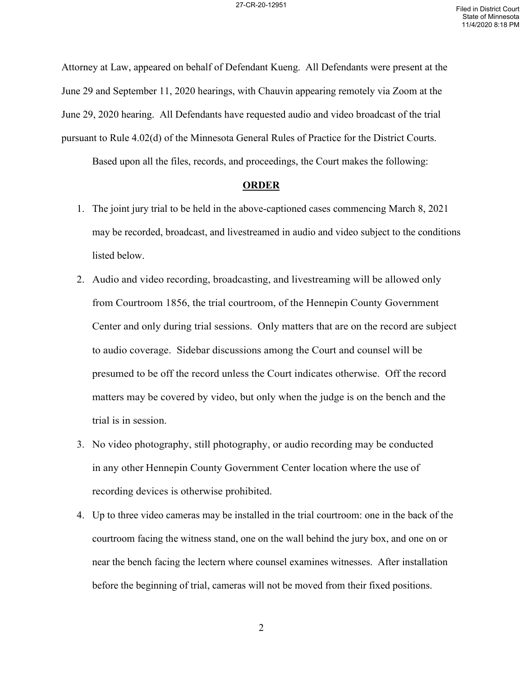Attorney at Law, appeared on behalf of Defendant Kueng. All Defendants were present at the June 29 and September 11, 2020 hearings, with Chauvin appearing remotely via Zoom at the June 29, 2020 hearing. All Defendants have requested audio and video broadcast of the trial pursuant to Rule 4.02(d) of the Minnesota General Rules of Practice for the District Courts.

Based upon all the files, records, and proceedings, the Court makes the following:

#### **ORDER**

- 1. The joint jury trial to be held in the above-captioned cases commencing March 8, 2021 may be recorded, broadcast, and livestreamed in audio and video subject to the conditions listed below.
- 2. Audio and video recording, broadcasting, and livestreaming will be allowed only from Courtroom 1856, the trial courtroom, of the Hennepin County Government Center and only during trial sessions. Only matters that are on the record are subject to audio coverage. Sidebar discussions among the Court and counsel will be presumed to be off the record unless the Court indicates otherwise. Off the record matters may be covered by video, but only when the judge is on the bench and the trial is in session.
- 3. No video photography, still photography, or audio recording may be conducted in any other Hennepin County Government Center location where the use of recording devices is otherwise prohibited.
- 4. Up to three video cameras may be installed in the trial courtroom: one in the back of the courtroom facing the witness stand, one on the wall behind the jury box, and one on or near the bench facing the lectern where counsel examines witnesses. After installation before the beginning of trial, cameras will not be moved from their fixed positions.

2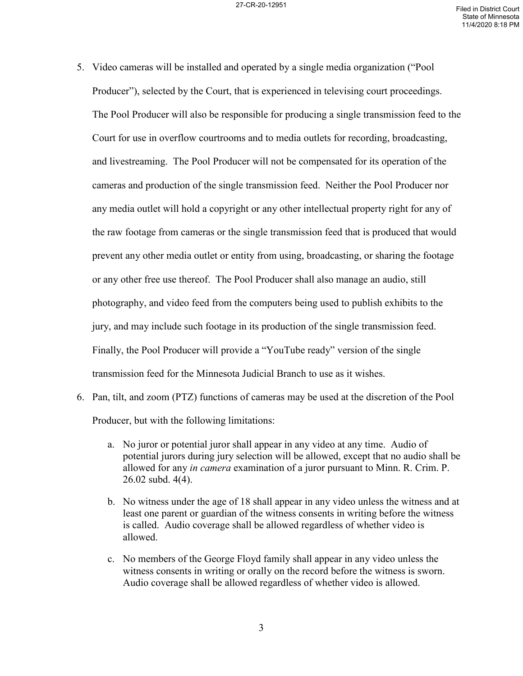- 5. Video cameras will be installed and operated by a single media organization ("Pool Producer"), selected by the Court, that is experienced in televising court proceedings. The Pool Producer will also be responsible for producing a single transmission feed to the Court for use in overflow courtrooms and to media outlets for recording, broadcasting, and livestreaming. The Pool Producer will not be compensated for its operation of the cameras and production of the single transmission feed. Neither the Pool Producer nor any media outlet will hold a copyright or any other intellectual property right for any of the raw footage from cameras or the single transmission feed that is produced that would prevent any other media outlet or entity from using, broadcasting, or sharing the footage or any other free use thereof. The Pool Producer shall also manage an audio, still photography, and video feed from the computers being used to publish exhibits to the jury, and may include such footage in its production of the single transmission feed. Finally, the Pool Producer will provide a "YouTube ready" version of the single transmission feed for the Minnesota Judicial Branch to use as it wishes.
- 6. Pan, tilt, and zoom (PTZ) functions of cameras may be used at the discretion of the Pool Producer, but with the following limitations:
	- a. No juror or potential juror shall appear in any video at any time. Audio of potential jurors during jury selection will be allowed, except that no audio shall be allowed for any *in camera* examination of a juror pursuant to Minn. R. Crim. P. 26.02 subd. 4(4).
	- b. No witness under the age of 18 shall appear in any video unless the witness and at least one parent or guardian of the witness consents in writing before the witness is called. Audio coverage shall be allowed regardless of whether video is allowed.
	- c. No members of the George Floyd family shall appear in any video unless the witness consents in writing or orally on the record before the witness is sworn. Audio coverage shall be allowed regardless of whether video is allowed.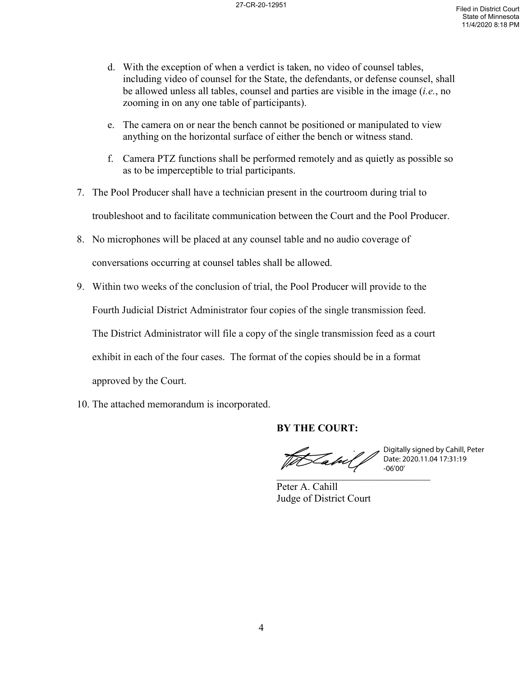- d. With the exception of when a verdict is taken, no video of counsel tables, including video of counsel for the State, the defendants, or defense counsel, shall be allowed unless all tables, counsel and parties are visible in the image (*i.e.*, no zooming in on any one table of participants).
- e. The camera on or near the bench cannot be positioned or manipulated to view anything on the horizontal surface of either the bench or witness stand.
- f. Camera PTZ functions shall be performed remotely and as quietly as possible so as to be imperceptible to trial participants.
- 7. The Pool Producer shall have a technician present in the courtroom during trial to troubleshoot and to facilitate communication between the Court and the Pool Producer.
- 8. No microphones will be placed at any counsel table and no audio coverage of conversations occurring at counsel tables shall be allowed.
- 9. Within two weeks of the conclusion of trial, the Pool Producer will provide to the

Fourth Judicial District Administrator four copies of the single transmission feed.

The District Administrator will file a copy of the single transmission feed as a court

exhibit in each of the four cases. The format of the copies should be in a format

approved by the Court.

10. The attached memorandum is incorporated.

# **BY THE COURT:**

th Cabul P  $\overline{\phantom{a}}$ 

Digitally signed by Cahill, Peter Date: 2020.11.04 17:31:19 -06'00'

Peter A. Cahill Judge of District Court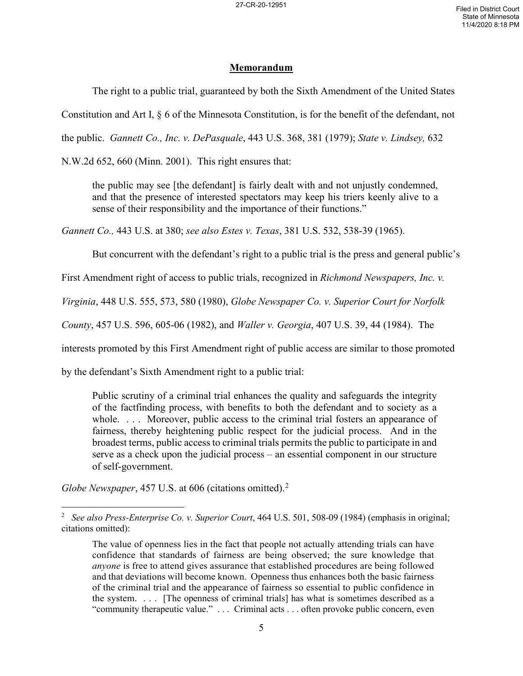# **Memorandum**

The right to a public trial, guaranteed by both the Sixth Amendment of the United States

Constitution and Art I, § 6 of the Minnesota Constitution, is for the benefit of the defendant, not

the public. *Gannett Co., Inc. v. DePasquale*, 443 U.S. 368, 381 (1979); *State v. Lindsey,* 632

N.W.2d 652, 660 (Minn. 2001). This right ensures that:

the public may see [the defendant] is fairly dealt with and not unjustly condemned, and that the presence of interested spectators may keep his triers keenly alive to a sense of their responsibility and the importance of their functions."

*Gannett Co.,* 443 U.S. at 380; *see also Estes v. Texas*, 381 U.S. 532, 538-39 (1965).

But concurrent with the defendant's right to a public trial is the press and general public's

First Amendment right of access to public trials, recognized in *Richmond Newspapers, Inc. v.* 

*Virginia*, 448 U.S. 555, 573, 580 (1980), *Globe Newspaper Co. v. Superior Court for Norfolk* 

*County*, 457 U.S. 596, 605-06 (1982), and *Waller v. Georgia*, 407 U.S. 39, 44 (1984). The

interests promoted by this First Amendment right of public access are similar to those promoted

by the defendant's Sixth Amendment right to a public trial:

Public scrutiny of a criminal trial enhances the quality and safeguards the integrity of the factfinding process, with benefits to both the defendant and to society as a whole. ... Moreover, public access to the criminal trial fosters an appearance of fairness, thereby heightening public respect for the judicial process. And in the broadest terms, public access to criminal trials permits the public to participate in and serve as a check upon the judicial process – an essential component in our structure of self-government.

*Globe Newspaper*, 457 U.S. at 606 (citations omitted).<sup>[2](#page-4-0)</sup>

<span id="page-4-0"></span> $\frac{1}{2}$  *See also Press-Enterprise Co. v. Superior Court*, 464 U.S. 501, 508-09 (1984) (emphasis in original; citations omitted):

The value of openness lies in the fact that people not actually attending trials can have confidence that standards of fairness are being observed; the sure knowledge that *anyone* is free to attend gives assurance that established procedures are being followed and that deviations will become known. Openness thus enhances both the basic fairness of the criminal trial and the appearance of fairness so essential to public confidence in the system. . . . [The openness of criminal trials] has what is sometimes described as a "community therapeutic value." . . . Criminal acts . . . often provoke public concern, even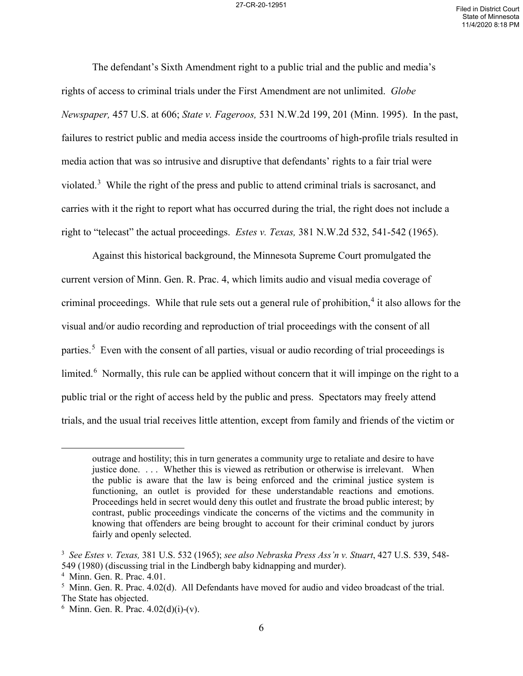The defendant's Sixth Amendment right to a public trial and the public and media's rights of access to criminal trials under the First Amendment are not unlimited. *Globe Newspaper,* 457 U.S. at 606; *State v. Fageroos,* 531 N.W.2d 199, 201 (Minn. 1995). In the past, failures to restrict public and media access inside the courtrooms of high-profile trials resulted in media action that was so intrusive and disruptive that defendants' rights to a fair trial were violated.<sup>[3](#page-5-0)</sup> While the right of the press and public to attend criminal trials is sacrosanct, and carries with it the right to report what has occurred during the trial, the right does not include a right to "telecast" the actual proceedings. *Estes v. Texas,* 381 N.W.2d 532, 541-542 (1965).

Against this historical background, the Minnesota Supreme Court promulgated the current version of Minn. Gen. R. Prac. 4, which limits audio and visual media coverage of criminal proceedings. While that rule sets out a general rule of prohibition,<sup>[4](#page-5-1)</sup> it also allows for the visual and/or audio recording and reproduction of trial proceedings with the consent of all parties.<sup>[5](#page-5-2)</sup> Even with the consent of all parties, visual or audio recording of trial proceedings is limited.<sup>[6](#page-5-3)</sup> Normally, this rule can be applied without concern that it will impinge on the right to a public trial or the right of access held by the public and press. Spectators may freely attend trials, and the usual trial receives little attention, except from family and friends of the victim or

 $\overline{a}$ 

outrage and hostility; this in turn generates a community urge to retaliate and desire to have justice done. ... Whether this is viewed as retribution or otherwise is irrelevant. When the public is aware that the law is being enforced and the criminal justice system is functioning, an outlet is provided for these understandable reactions and emotions. Proceedings held in secret would deny this outlet and frustrate the broad public interest; by contrast, public proceedings vindicate the concerns of the victims and the community in knowing that offenders are being brought to account for their criminal conduct by jurors fairly and openly selected.

<span id="page-5-0"></span><sup>3</sup> *See Estes v. Texas,* 381 U.S. 532 (1965); *see also Nebraska Press Ass'n v. Stuart*, 427 U.S. 539, 548- 549 (1980) (discussing trial in the Lindbergh baby kidnapping and murder).

<span id="page-5-1"></span><sup>4</sup> Minn. Gen. R. Prac. 4.01.

<span id="page-5-2"></span><sup>&</sup>lt;sup>5</sup> Minn. Gen. R. Prac. 4.02(d). All Defendants have moved for audio and video broadcast of the trial. The State has objected.

<span id="page-5-3"></span> $6$  Minn. Gen. R. Prac.  $4.02(d)(i)-(v)$ .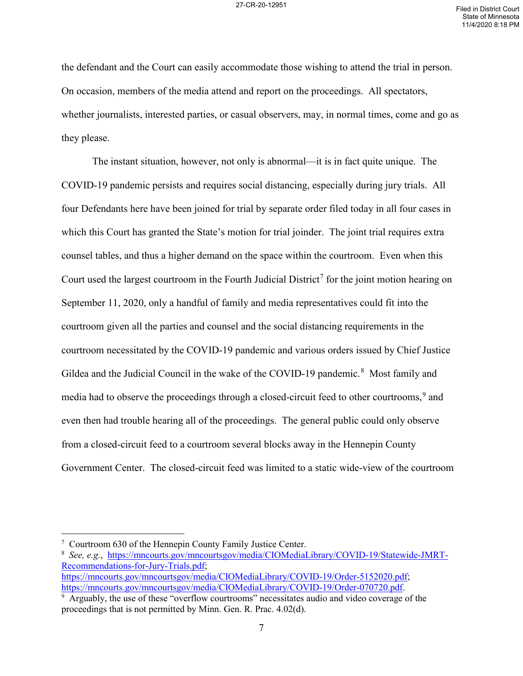the defendant and the Court can easily accommodate those wishing to attend the trial in person. On occasion, members of the media attend and report on the proceedings. All spectators, whether journalists, interested parties, or casual observers, may, in normal times, come and go as they please.

The instant situation, however, not only is abnormal—it is in fact quite unique. The COVID-19 pandemic persists and requires social distancing, especially during jury trials. All four Defendants here have been joined for trial by separate order filed today in all four cases in which this Court has granted the State's motion for trial joinder. The joint trial requires extra counsel tables, and thus a higher demand on the space within the courtroom. Even when this Court used the largest courtroom in the Fourth Judicial District<sup>[7](#page-6-0)</sup> for the joint motion hearing on September 11, 2020, only a handful of family and media representatives could fit into the courtroom given all the parties and counsel and the social distancing requirements in the courtroom necessitated by the COVID-19 pandemic and various orders issued by Chief Justice Gildea and the Judicial Council in the wake of the COVID-19 pandemic.<sup>[8](#page-6-1)</sup> Most family and media had to observe the proceedings through a closed-circuit feed to other courtrooms,<sup>[9](#page-6-2)</sup> and even then had trouble hearing all of the proceedings. The general public could only observe from a closed-circuit feed to a courtroom several blocks away in the Hennepin County Government Center. The closed-circuit feed was limited to a static wide-view of the courtroom

<span id="page-6-0"></span> <sup>7</sup> Courtroom 630 of the Hennepin County Family Justice Center.

<span id="page-6-1"></span><sup>8</sup> *See, e.g.*, [https://mncourts.gov/mncourtsgov/media/CIOMediaLibrary/COVID-19/Statewide-JMRT-](https://mncourts.gov/mncourtsgov/media/CIOMediaLibrary/COVID-19/Statewide-JMRT-Recommendations-for-Jury-Trials.pdf)[Recommendations-for-Jury-Trials.pdf;](https://mncourts.gov/mncourtsgov/media/CIOMediaLibrary/COVID-19/Statewide-JMRT-Recommendations-for-Jury-Trials.pdf) [https://mncourts.gov/mncourtsgov/media/CIOMediaLibrary/COVID-19/Order-5152020.pdf;](https://mncourts.gov/mncourtsgov/media/CIOMediaLibrary/COVID-19/Order-5152020.pdf)

[https://mncourts.gov/mncourtsgov/media/CIOMediaLibrary/COVID-19/Order-070720.pdf.](https://mncourts.gov/mncourtsgov/media/CIOMediaLibrary/COVID-19/Order-070720.pdf)

<span id="page-6-2"></span> $9$  Arguably, the use of these "overflow courtrooms" necessitates audio and video coverage of the proceedings that is not permitted by Minn. Gen. R. Prac. 4.02(d).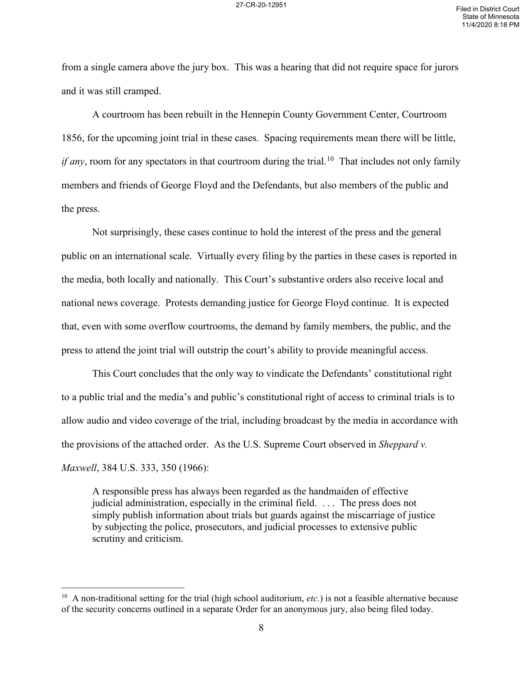from a single camera above the jury box. This was a hearing that did not require space for jurors and it was still cramped.

A courtroom has been rebuilt in the Hennepin County Government Center, Courtroom 1856, for the upcoming joint trial in these cases. Spacing requirements mean there will be little, *if any*, room for any spectators in that courtroom during the trial.<sup>[10](#page-7-0)</sup> That includes not only family members and friends of George Floyd and the Defendants, but also members of the public and the press.

Not surprisingly, these cases continue to hold the interest of the press and the general public on an international scale. Virtually every filing by the parties in these cases is reported in the media, both locally and nationally. This Court's substantive orders also receive local and national news coverage. Protests demanding justice for George Floyd continue. It is expected that, even with some overflow courtrooms, the demand by family members, the public, and the press to attend the joint trial will outstrip the court's ability to provide meaningful access.

This Court concludes that the only way to vindicate the Defendants' constitutional right to a public trial and the media's and public's constitutional right of access to criminal trials is to allow audio and video coverage of the trial, including broadcast by the media in accordance with the provisions of the attached order. As the U.S. Supreme Court observed in *Sheppard v. Maxwell*, 384 U.S. 333, 350 (1966):

A responsible press has always been regarded as the handmaiden of effective judicial administration, especially in the criminal field. . . . The press does not simply publish information about trials but guards against the miscarriage of justice by subjecting the police, prosecutors, and judicial processes to extensive public scrutiny and criticism.

<span id="page-7-0"></span><sup>&</sup>lt;sup>10</sup> A non-traditional setting for the trial (high school auditorium, *etc.*) is not a feasible alternative because of the security concerns outlined in a separate Order for an anonymous jury, also being filed today.